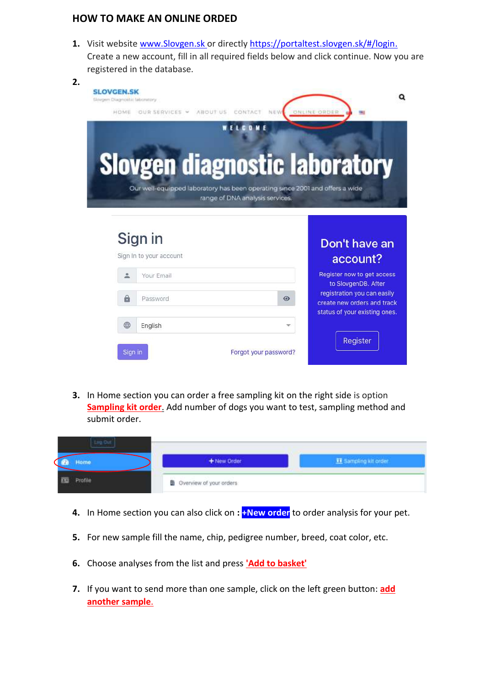## **HOW TO MAKE AN ONLINE ORDED**

**1.** Visit websit[e www.Slovgen.sk](http://www.slovgen.sk/) or directl[y https://portaltest.slovgen.sk/#/login.](https://portaltest.slovgen.sk/#/login) Create a new account, fill in all required fields below and click continue. Now you are registered in the database.

|                 |           | Don't have an<br>account?                                                                                                                                                          |
|-----------------|-----------|------------------------------------------------------------------------------------------------------------------------------------------------------------------------------------|
|                 |           |                                                                                                                                                                                    |
|                 |           |                                                                                                                                                                                    |
| 2<br>Your Email |           | Register now to get access<br>to SlovgenDB. After                                                                                                                                  |
| a<br>Password   | $\bullet$ | registration you can easily<br>create new orders and track                                                                                                                         |
|                 | Sign in   | <b>Slovgen diagnostic laboratory</b><br>Our well-equipped laboratory has been operating since 2001 and offers a wide<br>range of DNA analysis services.<br>Sign In to your account |

**3.** In Home section you can order a free sampling kit on the right side is option **Sampling kit order**. Add number of dogs you want to test, sampling method and submit order.

| Home.   | + New Order<br>the state of the control of the control of | E Sampling ait order |
|---------|-----------------------------------------------------------|----------------------|
| Profile | D Overview of your orders                                 |                      |

- **4.** In Home section you can also click on **: +New order** to order analysis for your pet.
- **5.** For new sample fill the name, chip, pedigree number, breed, coat color, etc.
- **6.** Choose analyses from the list and press **'Add to basket'**
- **7.** If you want to send more than one sample, click on the left green button: **add another sample**.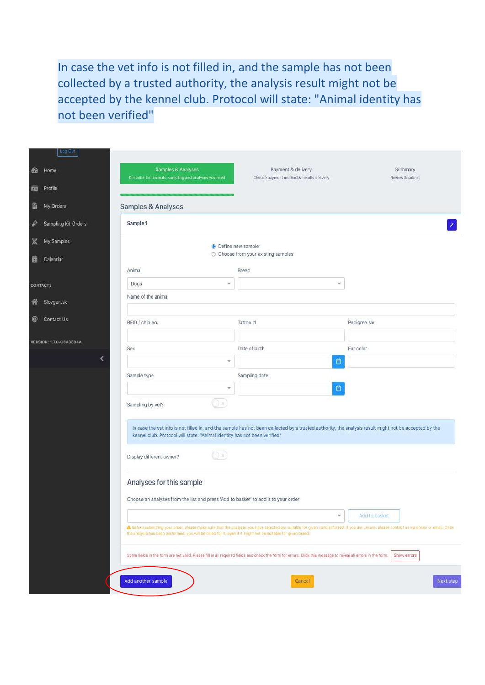In case the vet info is not filled in, and the sample has not been collected by a trusted authority, the analysis result might not be accepted by the kennel club. Protocol will state: "Animal identity has not been verified"

|          | Log Out                                                                                                                                                                                                                                                                                                   |                                                                                    |                                                                                                                                                       |                 |  |
|----------|-----------------------------------------------------------------------------------------------------------------------------------------------------------------------------------------------------------------------------------------------------------------------------------------------------------|------------------------------------------------------------------------------------|-------------------------------------------------------------------------------------------------------------------------------------------------------|-----------------|--|
|          | Home                                                                                                                                                                                                                                                                                                      | Samples & Analyses                                                                 | Payment & delivery                                                                                                                                    | Summary         |  |
| <b>B</b> |                                                                                                                                                                                                                                                                                                           | Describe the animals, sampling and analyses you need                               | Choose payment method & results delivery                                                                                                              | Review & submit |  |
| 画        | Profile                                                                                                                                                                                                                                                                                                   |                                                                                    |                                                                                                                                                       |                 |  |
| è        | My Orders                                                                                                                                                                                                                                                                                                 | Samples & Analyses                                                                 |                                                                                                                                                       |                 |  |
| ₽        | Sampling Kit Orders                                                                                                                                                                                                                                                                                       | Sample 1                                                                           |                                                                                                                                                       |                 |  |
| z        | My Samples                                                                                                                                                                                                                                                                                                |                                                                                    | · Define new sample                                                                                                                                   |                 |  |
| 蘦        | Calendar                                                                                                                                                                                                                                                                                                  |                                                                                    | ○ Choose from your existing samples                                                                                                                   |                 |  |
|          |                                                                                                                                                                                                                                                                                                           | Animal                                                                             | Breed                                                                                                                                                 |                 |  |
|          | <b>CONTACTS</b>                                                                                                                                                                                                                                                                                           | Dogs<br>w                                                                          | v                                                                                                                                                     |                 |  |
|          | Slovgen.sk                                                                                                                                                                                                                                                                                                | Name of the animal                                                                 |                                                                                                                                                       |                 |  |
| 斧        |                                                                                                                                                                                                                                                                                                           |                                                                                    |                                                                                                                                                       |                 |  |
| @        | Contact Us                                                                                                                                                                                                                                                                                                | RFID / chip no.                                                                    | Tattoo Id                                                                                                                                             | Pedigree No     |  |
|          |                                                                                                                                                                                                                                                                                                           |                                                                                    |                                                                                                                                                       |                 |  |
|          | <b>VERSION: 1.7.0-CBA38B4A</b>                                                                                                                                                                                                                                                                            | Sex                                                                                | Date of birth                                                                                                                                         | Fur color       |  |
|          |                                                                                                                                                                                                                                                                                                           | ÷                                                                                  | 自                                                                                                                                                     |                 |  |
|          |                                                                                                                                                                                                                                                                                                           | Sample type                                                                        | Sampling date                                                                                                                                         |                 |  |
|          |                                                                                                                                                                                                                                                                                                           | ÷                                                                                  | $\blacksquare$                                                                                                                                        |                 |  |
|          |                                                                                                                                                                                                                                                                                                           | .) x<br>Sampling by vet?                                                           |                                                                                                                                                       |                 |  |
|          |                                                                                                                                                                                                                                                                                                           |                                                                                    |                                                                                                                                                       |                 |  |
|          |                                                                                                                                                                                                                                                                                                           |                                                                                    | In case the vet info is not filled in, and the sample has not been collected by a trusted authority, the analysis result might not be accepted by the |                 |  |
|          |                                                                                                                                                                                                                                                                                                           | kennel club. Protocol will state: "Animal identity has not been verified"          |                                                                                                                                                       |                 |  |
|          | (C) x)<br>Display different owner?                                                                                                                                                                                                                                                                        |                                                                                    |                                                                                                                                                       |                 |  |
|          |                                                                                                                                                                                                                                                                                                           | Analyses for this sample                                                           |                                                                                                                                                       |                 |  |
|          |                                                                                                                                                                                                                                                                                                           | Choose an analyses from the list and press 'Add to basket' to add it to your order |                                                                                                                                                       |                 |  |
|          |                                                                                                                                                                                                                                                                                                           |                                                                                    | $\mathcal{U}$                                                                                                                                         | Add to basket   |  |
|          | A Before submitting your order, please make sure that the analyses you have selected are suitable for given species/breed. If you are unsure, please contact us via phone or email. Once<br>the analysis has been performed, you will be billed for it, even if it might not be sultable for given breed. |                                                                                    |                                                                                                                                                       |                 |  |
|          | Some fields in the form are not valid. Please fill in all required fields and check the form for errors. Click this message to reveal all errors in the form. Show errors                                                                                                                                 |                                                                                    |                                                                                                                                                       |                 |  |
|          |                                                                                                                                                                                                                                                                                                           |                                                                                    |                                                                                                                                                       |                 |  |
|          |                                                                                                                                                                                                                                                                                                           | Add another sample                                                                 | Cancel                                                                                                                                                | Next step       |  |